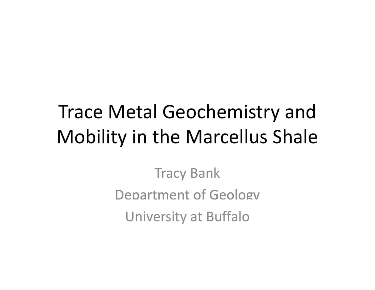# Trace Metal Geochemistry and Mobility in the Marcellus Shale

Tracy Bank Department of Geology University at Buffalo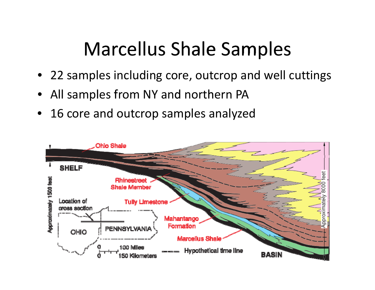# Marcellus Shale Samples

- 22 samples including core, outcrop and well cuttings
- •All samples from NY and northern PA
- 16 core and outcrop samples analyzed

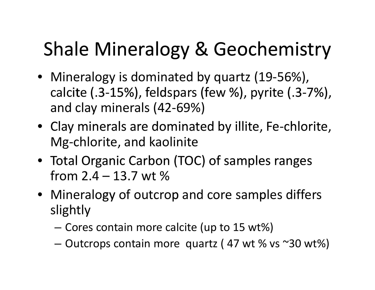# Shale Mineralogy & Geochemistry

- Mineralogy is dominated by quartz (19‐56%), calcite ( 3-15%), feldspars (few %), pyrite ( 3-7%), and clay minerals (42‐69%)
- Clay minerals are dominated by illite, Fe-chlorite, Mg‐chlorite, and kaolinite
- Total Organic Carbon (TOC) of samples ranges from2.4–13.7 wt %
- Mineralogy of outcrop and core samples differs slightly
	- –Cores contain more calcite (up to 15 wt%)
	- –– Outcrops contain more quartz ( 47 wt % vs ~30 wt%)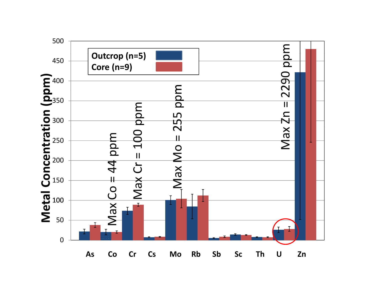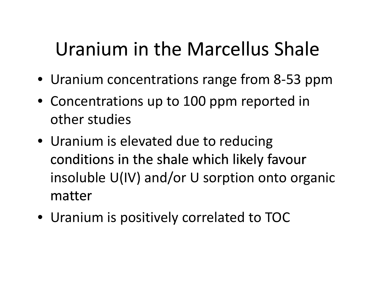# Uranium in the Marcellus Shale

- Uranium concentrations range from 8‐53 ppm
- Concentrations up to 100 ppm reported in other studies
- Uranium is elevated due to reducing conditions in the shale which likely favour insoluble U(IV) and/or U sorption onto organic matter
- Uranium is positively correlated to TOC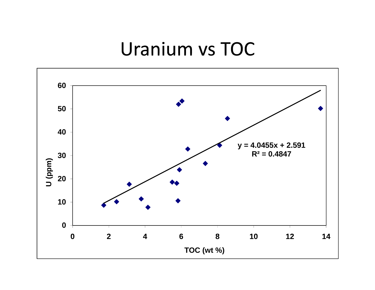#### Uranium vs TOC

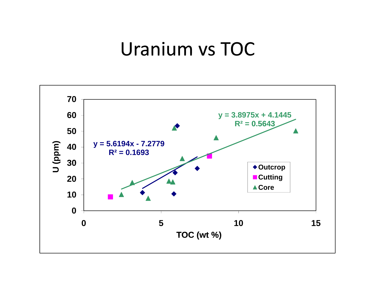#### Uranium vs TOC

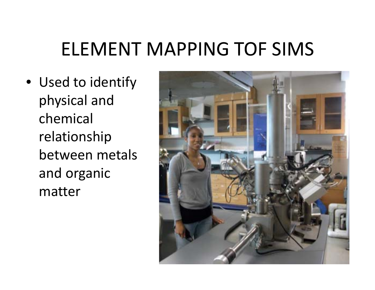## ELEMENT MAPPING TOF SIMS

• Used to identify physical and chemical relationship between metals and organic matter

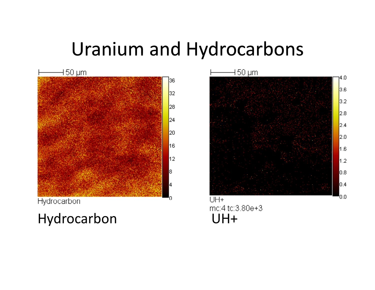## Uranium and Hydrocarbons



Hydrocarbon

Hydrocarbon UH+

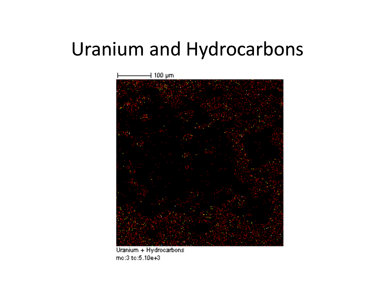## Uranium and Hydrocarbons



Uranium + Hydrocarbons  $mc:3$  to:5.10e+3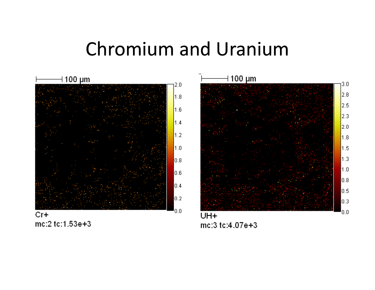### Chromium and Uranium

 $3.0$ 

 $2.8$ 

2.5

2.3

2.0

1.8

1.5

 $1.3$ 

 $1.0$ 

0.8

 $0.5$ 

 $0.3$ 

0.0



mc:2 tc:1.53e+3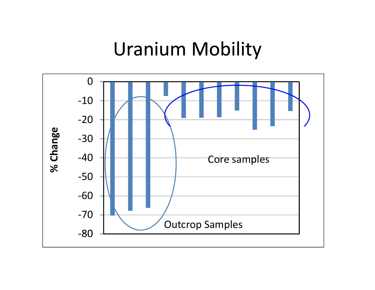### Uranium Mobility

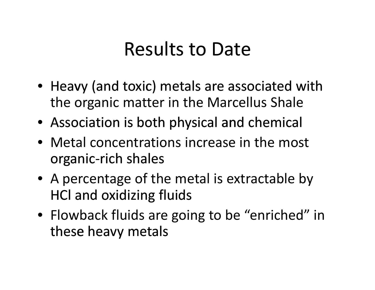## Results to Date

- $\bullet\,$  Heavy (and toxic) metals are associated with the organic matter in the Marcellus Shale i
- Association is both physical and chemical
- •Metal concentrations increase in the most organic‐rich shales
- A percentage of the metal is extractable by HCl and oxidizing fluids
- Flowback fluids are going to be "enriched" in these heavy metals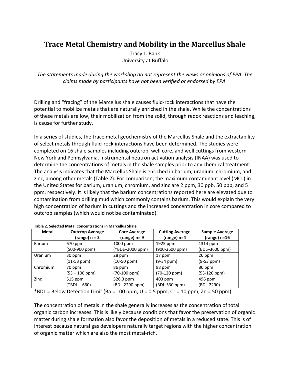#### **Trace Metal Chemistry and Mobility in the Marcellus Shale**

Tracy L. Bank University at Buffalo

*The statements made during the workshop do not represent the views or opinions of EPA. The claims made by participants have not been verified or endorsed by EPA.*

Drilling and "fracing" of the Marcellus shale causes fluid-rock interactions that have the potential to mobilize metals that are naturally enriched in the shale. While the concentrations of these metals are low, their mobilization from the solid, through redox reactions and leaching, is cause for further study.

In a series of studies, the trace metal geochemistry of the Marcellus Shale and the extractability of select metals through fluid‐rock interactions have been determined. The studies were completed on 16 shale samples including outcrop, well core, and well cuttings from western New York and Pennsylvania. Instrumental neutron activation analysis (INAA) was used to determine the concentrations of metals in the shale samples prior to any chemical treatment. The analysis indicates that the Marcellus Shale is enriched in barium, uranium, chromium, and zinc, among other metals (Table 2). For comparison, the maximum contaminant level (MCL) in the United States for barium, uranium, chromium, and zinc are 2 ppm, 30 ppb, 50 ppb, and 5 ppm, respectively. It is likely that the barium concentrations reported here are elevated due to contamination from drilling mud which commonly contains barium. This would explain the very high concentration of barium in cuttings and the increased concentration in core compared to outcrop samples (which would not be contaminated).

| <b>Metal</b>   | <b>Outcrop Average</b><br>(range) $n = 3$ | <b>Core Average</b><br>$(range)$ n= 9 | <b>Cutting Average</b><br>$(range)$ n=4 | <b>Sample Average</b><br>$(range)$ n=16 |
|----------------|-------------------------------------------|---------------------------------------|-----------------------------------------|-----------------------------------------|
| <b>Barium</b>  | 670 ppm                                   | 1000 ppm                              | 1925 ppm                                | 1314 ppm                                |
|                | (500-900 ppm)                             | (*BDL-2000 ppm)                       | (900-3600 ppm)                          | (BDL-3600 ppm)                          |
| <b>Uranium</b> | 30 ppm                                    | 28 ppm                                | 17 ppm                                  | 26 ppm                                  |
|                | (11-53 ppm)                               | (10-50 ppm)                           | $(9-34 ppm)$                            | $(9-53$ ppm)                            |
| Chromium       | 70 ppm                                    | 86 ppm                                | 98 ppm                                  | 86 ppm                                  |
|                | $(53 - 100$ ppm)                          | (70-100 ppm)                          | $(70-120$ ppm $)$                       | (53-120 ppm)                            |
| Zinc           | 515 ppm                                   | 526.3 ppm                             | $403$ ppm                               | $496$ ppm                               |
|                | $(*BDL - 660)$                            | (BDL-2290 ppm)                        | (BDL-530 ppm)                           | (BDL-2290)                              |

**Table 2. Selected Metal Concentrations in Marcellus Shale**

\*BDL = Below Detection Limit (Ba = 100 ppm,  $U = 0.5$  ppm,  $Cr = 10$  ppm,  $Zn = 50$  ppm)

The concentration of metals in the shale generally increases as the concentration of total organic carbon increases. This is likely because conditions that favor the preservation of organic matter during shale formation also favor the deposition of metals in a reduced state. This is of interest because natural gas developers naturally target regions with the higher concentration of organic matter which are also the most metal‐rich.